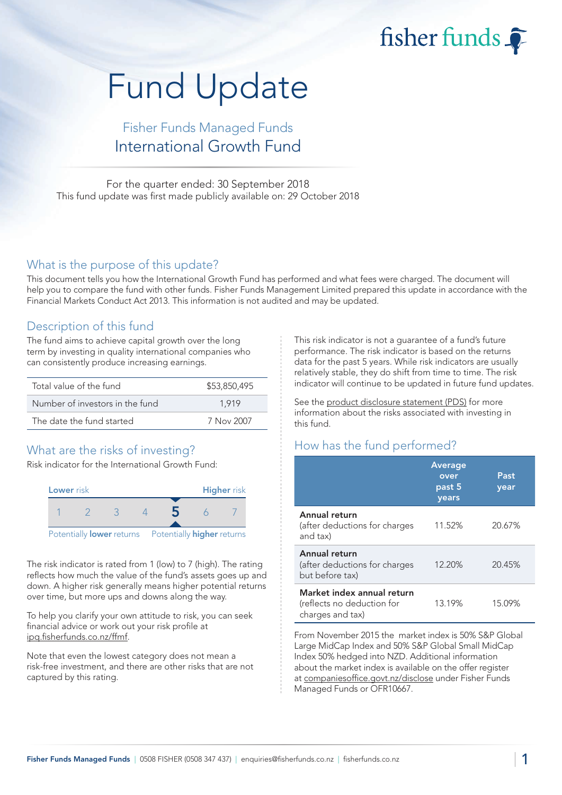fisher funds

# Fund Update

## Fisher Funds Managed Funds International Growth Fund

For the quarter ended: 30 September 2018 This fund update was first made publicly available on: 29 October 2018

#### What is the purpose of this update?

This document tells you how the International Growth Fund has performed and what fees were charged. The document will help you to compare the fund with other funds. Fisher Funds Management Limited prepared this update in accordance with the Financial Markets Conduct Act 2013. This information is not audited and may be updated.

## Description of this fund

The fund aims to achieve capital growth over the long term by investing in quality international companies who can consistently produce increasing earnings.

| Total value of the fund         | \$53,850,495 |  |  |
|---------------------------------|--------------|--|--|
| Number of investors in the fund | 1.919        |  |  |
| The date the fund started       | 7 Nov 2007   |  |  |

## What are the risks of investing?

Risk indicator for the International Growth Fund:



The risk indicator is rated from 1 (low) to 7 (high). The rating reflects how much the value of the fund's assets goes up and down. A higher risk generally means higher potential returns over time, but more ups and downs along the way.

To help you clarify your own attitude to risk, you can seek financial advice or work out your risk profile at [ipq.fisherfunds.co.nz/ffmf.](https://ipq.fisherfunds.co.nz/ffmf)

Note that even the lowest category does not mean a risk-free investment, and there are other risks that are not captured by this rating.

This risk indicator is not a guarantee of a fund's future performance. The risk indicator is based on the returns data for the past 5 years. While risk indicators are usually relatively stable, they do shift from time to time. The risk indicator will continue to be updated in future fund updates.

See the [product disclosure statement \(PDS\)](https://fisherfunds.co.nz/assets/PDS/Fisher-Funds-Managed-Funds-PDS.pdf) for more information about the risks associated with investing in this fund.

## How has the fund performed?

|                                                                              | <b>Average</b><br>over<br>past 5<br>years | Past<br>year |
|------------------------------------------------------------------------------|-------------------------------------------|--------------|
| Annual return<br>(after deductions for charges<br>and tax)                   | 11.52%                                    | 20.67%       |
| Annual return<br>(after deductions for charges<br>but before tax)            | 12.20%                                    | 20.45%       |
| Market index annual return<br>(reflects no deduction for<br>charges and tax) | 13.19%                                    | 15.09%       |

From November 2015 the market index is 50% S&P Global Large MidCap Index and 50% S&P Global Small MidCap Index 50% hedged into NZD. Additional information about the market index is available on the offer register at [companiesoffice.govt.nz/disclose](http://companiesoffice.govt.nz/disclose) under Fisher Funds Managed Funds or OFR10667.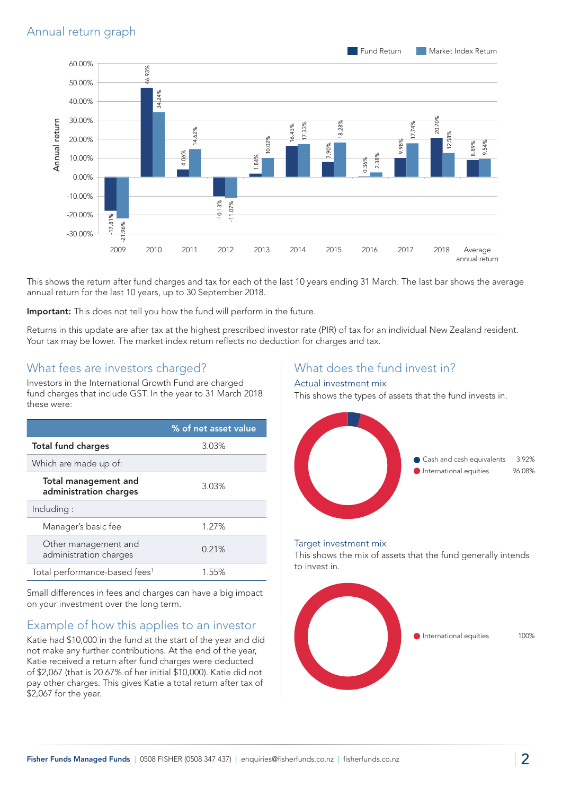

This shows the return after fund charges and tax for each of the last 10 years ending 31 March. The last bar shows the average annual return for the last 10 years, up to 30 September 2018.

Important: This does not tell you how the fund will perform in the future.

Returns in this update are after tax at the highest prescribed investor rate (PIR) of tax for an individual New Zealand resident. Your tax may be lower. The market index return reflects no deduction for charges and tax.

#### What fees are investors charged?

Investors in the International Growth Fund are charged fund charges that include GST. In the year to 31 March 2018 these were:

|                                                | % of net asset value |
|------------------------------------------------|----------------------|
| <b>Total fund charges</b>                      | 3.03%                |
| Which are made up of:                          |                      |
| Total management and<br>administration charges | 3.03%                |
| Including:                                     |                      |
| Manager's basic fee                            | 1.27%                |
| Other management and<br>administration charges | 0.21%                |
| Total performance-based fees <sup>1</sup>      | 1.55%                |

Small differences in fees and charges can have a big impact on your investment over the long term.

## Example of how this applies to an investor

Katie had \$10,000 in the fund at the start of the year and did not make any further contributions. At the end of the year, Katie received a return after fund charges were deducted of \$2,067 (that is 20.67% of her initial \$10,000). Katie did not pay other charges. This gives Katie a total return after tax of \$2,067 for the year.

## What does the fund invest in?

#### Actual investment mix

This shows the types of assets that the fund invests in.



#### Target investment mix

This shows the mix of assets that the fund generally intends to invest in.